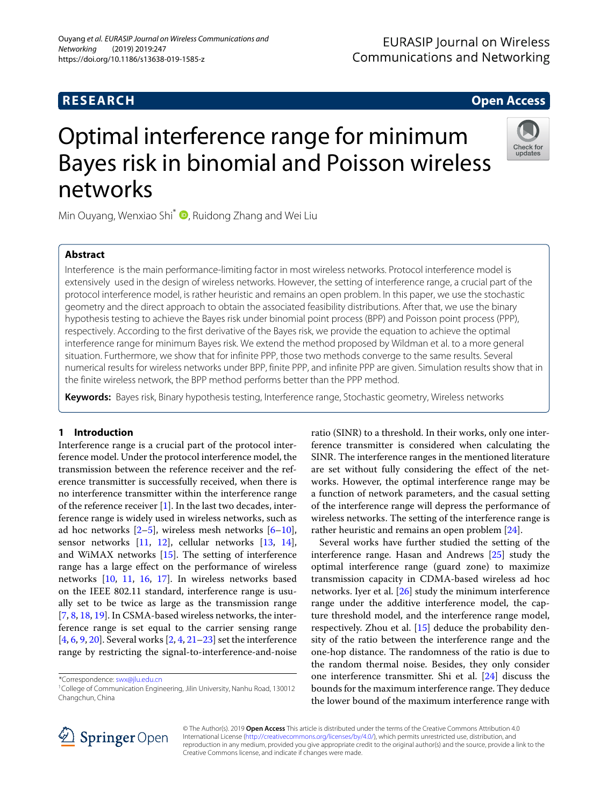#### **EURASIP Journal on Wireless Communications and Networking**

### **RESEARCH Open Access**

# Check for<br>updates

## Optimal interference range for minimum Bayes risk in binomial and Poisson wireless networks

Min Ouyang[,](http://orcid.org/0000-0003-2874-0556) Wenxiao Shi $^*$   $\bullet$ , Ruidong Zhang and Wei Liu

#### **Abstract**

Interference is the main performance-limiting factor in most wireless networks. Protocol interference model is extensively used in the design of wireless networks. However, the setting of interference range, a crucial part of the protocol interference model, is rather heuristic and remains an open problem. In this paper, we use the stochastic geometry and the direct approach to obtain the associated feasibility distributions. After that, we use the binary hypothesis testing to achieve the Bayes risk under binomial point process (BPP) and Poisson point process (PPP), respectively. According to the first derivative of the Bayes risk, we provide the equation to achieve the optimal interference range for minimum Bayes risk. We extend the method proposed by Wildman et al. to a more general situation. Furthermore, we show that for infinite PPP, those two methods converge to the same results. Several numerical results for wireless networks under BPP, finite PPP, and infinite PPP are given. Simulation results show that in the finite wireless network, the BPP method performs better than the PPP method.

**Keywords:** Bayes risk, Binary hypothesis testing, Interference range, Stochastic geometry, Wireless networks

#### **1 Introduction**

Interference range is a crucial part of the protocol interference model. Under the protocol interference model, the transmission between the reference receiver and the reference transmitter is successfully received, when there is no interference transmitter within the interference range of the reference receiver [\[1\]](#page-10-0). In the last two decades, interference range is widely used in wireless networks, such as ad hoc networks  $[2-5]$  $[2-5]$ , wireless mesh networks  $[6-10]$  $[6-10]$ , sensor networks  $[11, 12]$  $[11, 12]$  $[11, 12]$ , cellular networks  $[13, 14]$  $[13, 14]$  $[13, 14]$ , and WiMAX networks [\[15\]](#page-10-9). The setting of interference range has a large effect on the performance of wireless networks [\[10,](#page-10-4) [11,](#page-10-5) [16,](#page-10-10) [17\]](#page-10-11). In wireless networks based on the IEEE 802.11 standard, interference range is usually set to be twice as large as the transmission range [\[7,](#page-10-12) [8,](#page-10-13) [18,](#page-10-14) [19\]](#page-10-15). In CSMA-based wireless networks, the interference range is set equal to the carrier sensing range [\[4,](#page-10-16) [6,](#page-10-3) [9,](#page-10-17) [20\]](#page-10-18). Several works [\[2,](#page-10-1) [4,](#page-10-16) [21](#page-10-19)[–23\]](#page-10-20) set the interference range by restricting the signal-to-interference-and-noise

ratio (SINR) to a threshold. In their works, only one interference transmitter is considered when calculating the SINR. The interference ranges in the mentioned literature are set without fully considering the effect of the networks. However, the optimal interference range may be a function of network parameters, and the casual setting of the interference range will depress the performance of wireless networks. The setting of the interference range is rather heuristic and remains an open problem [\[24\]](#page-10-21).

Several works have further studied the setting of the interference range. Hasan and Andrews [\[25\]](#page-10-22) study the optimal interference range (guard zone) to maximize transmission capacity in CDMA-based wireless ad hoc networks. Iyer et al. [\[26\]](#page-10-23) study the minimum interference range under the additive interference model, the capture threshold model, and the interference range model, respectively. Zhou et al. [\[15\]](#page-10-9) deduce the probability density of the ratio between the interference range and the one-hop distance. The randomness of the ratio is due to the random thermal noise. Besides, they only consider one interference transmitter. Shi et al. [\[24\]](#page-10-21) discuss the bounds for the maximum interference range. They deduce the lower bound of the maximum interference range with



© The Author(s). 2019 **Open Access** This article is distributed under the terms of the Creative Commons Attribution 4.0 International License [\(http://creativecommons.org/licenses/by/4.0/\)](http://creativecommons.org/licenses/by/4.0/), which permits unrestricted use, distribution, and reproduction in any medium, provided you give appropriate credit to the original author(s) and the source, provide a link to the Creative Commons license, and indicate if changes were made.

<sup>\*</sup>Correspondence: [swx@jlu.edu.cn](mailto: swx@jlu.edu.cn)

<sup>1</sup>College of Communication Engineering, Jilin University, Nanhu Road, 130012 Changchun, China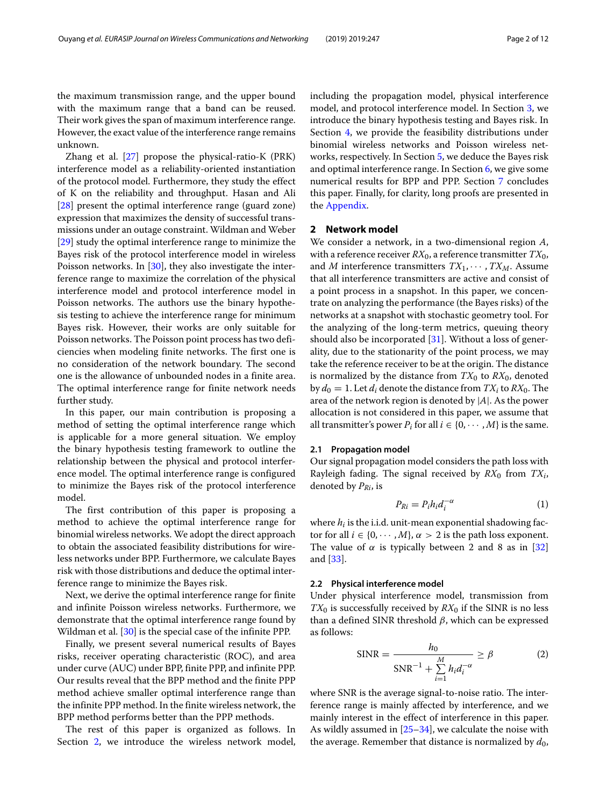the maximum transmission range, and the upper bound with the maximum range that a band can be reused. Their work gives the span of maximum interference range. However, the exact value of the interference range remains unknown.

Zhang et al. [\[27\]](#page-10-24) propose the physical-ratio-K (PRK) interference model as a reliability-oriented instantiation of the protocol model. Furthermore, they study the effect of K on the reliability and throughput. Hasan and Ali [\[28\]](#page-10-25) present the optimal interference range (guard zone) expression that maximizes the density of successful transmissions under an outage constraint. Wildman and Weber [\[29\]](#page-10-26) study the optimal interference range to minimize the Bayes risk of the protocol interference model in wireless Poisson networks. In [\[30\]](#page-10-27), they also investigate the interference range to maximize the correlation of the physical interference model and protocol interference model in Poisson networks. The authors use the binary hypothesis testing to achieve the interference range for minimum Bayes risk. However, their works are only suitable for Poisson networks. The Poisson point process has two deficiencies when modeling finite networks. The first one is no consideration of the network boundary. The second one is the allowance of unbounded nodes in a finite area. The optimal interference range for finite network needs further study.

In this paper, our main contribution is proposing a method of setting the optimal interference range which is applicable for a more general situation. We employ the binary hypothesis testing framework to outline the relationship between the physical and protocol interference model. The optimal interference range is configured to minimize the Bayes risk of the protocol interference model.

The first contribution of this paper is proposing a method to achieve the optimal interference range for binomial wireless networks. We adopt the direct approach to obtain the associated feasibility distributions for wireless networks under BPP. Furthermore, we calculate Bayes risk with those distributions and deduce the optimal interference range to minimize the Bayes risk.

Next, we derive the optimal interference range for finite and infinite Poisson wireless networks. Furthermore, we demonstrate that the optimal interference range found by Wildman et al. [\[30\]](#page-10-27) is the special case of the infinite PPP.

Finally, we present several numerical results of Bayes risks, receiver operating characteristic (ROC), and area under curve (AUC) under BPP, finite PPP, and infinite PPP. Our results reveal that the BPP method and the finite PPP method achieve smaller optimal interference range than the infinite PPP method. In the finite wireless network, the BPP method performs better than the PPP methods.

The rest of this paper is organized as follows. In Section [2,](#page-1-0) we introduce the wireless network model, including the propagation model, physical interference model, and protocol interference model. In Section [3,](#page-2-0) we introduce the binary hypothesis testing and Bayes risk. In Section [4,](#page-2-1) we provide the feasibility distributions under binomial wireless networks and Poisson wireless networks, respectively. In Section [5,](#page-3-0) we deduce the Bayes risk and optimal interference range. In Section [6,](#page-5-0) we give some numerical results for BPP and PPP. Section [7](#page-7-0) concludes this paper. Finally, for clarity, long proofs are presented in the [Appendix.](#page-7-1)

#### <span id="page-1-0"></span>**2 Network model**

We consider a network, in a two-dimensional region *A*, with a reference receiver  $RX_0$ , a reference transmitter  $TX_0$ , and *M* interference transmitters  $TX_1, \cdots, TX_M$ . Assume that all interference transmitters are active and consist of a point process in a snapshot. In this paper, we concentrate on analyzing the performance (the Bayes risks) of the networks at a snapshot with stochastic geometry tool. For the analyzing of the long-term metrics, queuing theory should also be incorporated [\[31\]](#page-10-28). Without a loss of generality, due to the stationarity of the point process, we may take the reference receiver to be at the origin. The distance is normalized by the distance from  $TX_0$  to  $RX_0$ , denoted by  $d_0 = 1$ . Let  $d_i$  denote the distance from  $TX_i$  to  $RX_0$ . The area of the network region is denoted by |*A*|. As the power allocation is not considered in this paper, we assume that all transmitter's power  $P_i$  for all  $i \in \{0, \dots, M\}$  is the same.

#### **2.1 Propagation model**

Our signal propagation model considers the path loss with Rayleigh fading. The signal received by *RX*<sup>0</sup> from *TXi*, denoted by *PRi*, is

$$
P_{Ri} = P_i h_i d_i^{-\alpha} \tag{1}
$$

where *hi* is the i.i.d. unit-mean exponential shadowing factor for all  $i \in \{0, \dots, M\}$ ,  $\alpha > 2$  is the path loss exponent. The value of  $\alpha$  is typically between 2 and 8 as in [\[32\]](#page-10-29) and [\[33\]](#page-10-30).

#### **2.2 Physical interference model**

Under physical interference model, transmission from  $TX_0$  is successfully received by  $RX_0$  if the SINR is no less than a defined SINR threshold  $β$ , which can be expressed as follows:

$$
SINR = \frac{h_0}{SNR^{-1} + \sum_{i=1}^{M} h_i d_i^{-\alpha}} \ge \beta
$$
 (2)

where SNR is the average signal-to-noise ratio. The interference range is mainly affected by interference, and we mainly interest in the effect of interference in this paper. As wildly assumed in [\[25](#page-10-22)[–34\]](#page-11-0), we calculate the noise with the average. Remember that distance is normalized by  $d_0$ ,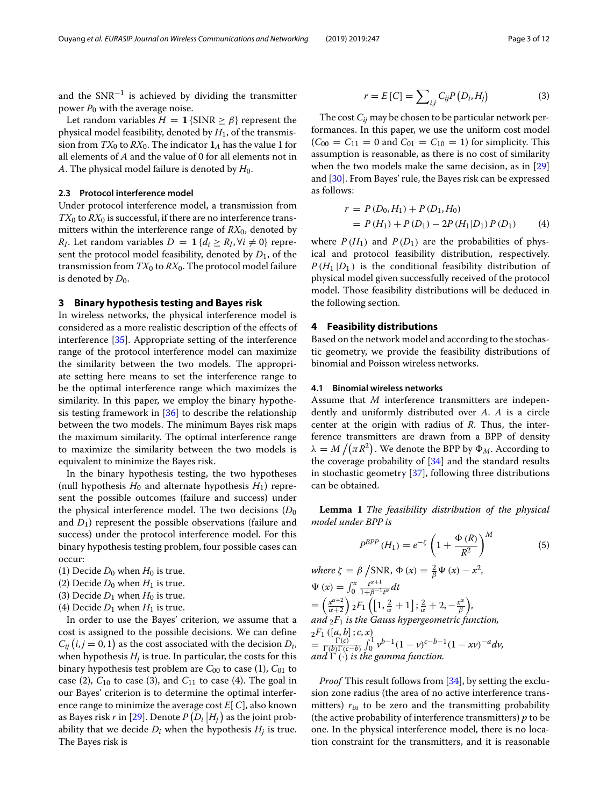and the  $SNR^{-1}$  is achieved by dividing the transmitter power *P*<sup>0</sup> with the average noise.

Let random variables  $H = 1$  {SINR  $\geq \beta$ } represent the physical model feasibility, denoted by *H*1, of the transmission from  $TX_0$  to  $RX_0$ . The indicator  $\mathbf{1}_A$  has the value 1 for all elements of *A* and the value of 0 for all elements not in *A*. The physical model failure is denoted by  $H_0$ .

#### **2.3 Protocol interference model**

Under protocol interference model, a transmission from  $TX_0$  to  $RX_0$  is successful, if there are no interference transmitters within the interference range of  $RX_0$ , denoted by *R<sub>I</sub>*. Let random variables  $D = \mathbf{1} \{d_i \ge R_I, \forall i \ne 0\}$  represent the protocol model feasibility, denoted by  $D_1$ , of the transmission from  $TX_0$  to  $RX_0$ . The protocol model failure is denoted by  $D_0$ .

#### <span id="page-2-0"></span>**3 Binary hypothesis testing and Bayes risk**

In wireless networks, the physical interference model is considered as a more realistic description of the effects of interference [\[35\]](#page-11-1). Appropriate setting of the interference range of the protocol interference model can maximize the similarity between the two models. The appropriate setting here means to set the interference range to be the optimal interference range which maximizes the similarity. In this paper, we employ the binary hypothesis testing framework in  $[36]$  to describe the relationship between the two models. The minimum Bayes risk maps the maximum similarity. The optimal interference range to maximize the similarity between the two models is equivalent to minimize the Bayes risk.

In the binary hypothesis testing, the two hypotheses (null hypothesis  $H_0$  and alternate hypothesis  $H_1$ ) represent the possible outcomes (failure and success) under the physical interference model. The two decisions  $(D_0)$ and *D*1) represent the possible observations (failure and success) under the protocol interference model. For this binary hypothesis testing problem, four possible cases can occur:

- (1) Decide  $D_0$  when  $H_0$  is true.
- (2) Decide  $D_0$  when  $H_1$  is true.
- (3) Decide  $D_1$  when  $H_0$  is true.
- (4) Decide  $D_1$  when  $H_1$  is true.

In order to use the Bayes' criterion, we assume that a cost is assigned to the possible decisions. We can define  $C_{ij}$   $(i, j = 0, 1)$  as the cost associated with the decision  $D_i$ , when hypothesis  $H_i$  is true. In particular, the costs for this binary hypothesis test problem are  $C_{00}$  to case (1),  $C_{01}$  to case (2),  $C_{10}$  to case (3), and  $C_{11}$  to case (4). The goal in our Bayes' criterion is to determine the optimal interference range to minimize the average cost *E*[ *C*], also known as Bayes risk *r* in [\[29\]](#page-10-26). Denote  $P(D_i | H_j)$  as the joint probability that we decide  $D_i$  when the hypothesis  $H_i$  is true. The Bayes risk is

$$
r = E[C] = \sum_{i,j} C_{ij} P(D_i, H_j)
$$
 (3)

The cost *Cij* may be chosen to be particular network performances. In this paper, we use the uniform cost model  $(C_{00} = C_{11} = 0$  and  $C_{01} = C_{10} = 1$ ) for simplicity. This assumption is reasonable, as there is no cost of similarity when the two models make the same decision, as in [\[29\]](#page-10-26) and [\[30\]](#page-10-27). From Bayes' rule, the Bayes risk can be expressed as follows:

<span id="page-2-3"></span>
$$
r = P(D_0, H_1) + P(D_1, H_0)
$$
  
=  $P(H_1) + P(D_1) - 2P(H_1|D_1) P(D_1)$  (4)

where  $P(H_1)$  and  $P(D_1)$  are the probabilities of physical and protocol feasibility distribution, respectively.  $P(H_1 | D_1)$  is the conditional feasibility distribution of physical model given successfully received of the protocol model. Those feasibility distributions will be deduced in the following section.

#### <span id="page-2-1"></span>**4 Feasibility distributions**

Based on the network model and according to the stochastic geometry, we provide the feasibility distributions of binomial and Poisson wireless networks.

#### **4.1 Binomial wireless networks**

Assume that *M* interference transmitters are independently and uniformly distributed over *A*. *A* is a circle center at the origin with radius of *R*. Thus, the interference transmitters are drawn from a BPP of density  $\lambda = M \left/ (\pi R^2)$  . We denote the BPP by  $\Phi_M$ . According to the coverage probability of  $[34]$  and the standard results in stochastic geometry [\[37\]](#page-11-3), following three distributions can be obtained.

<span id="page-2-2"></span>**Lemma 1** *The feasibility distribution of the physical model under BPP is*

<span id="page-2-4"></span>
$$
P^{BPP} (H_1) = e^{-\zeta} \left( 1 + \frac{\Phi (R)}{R^2} \right)^M
$$
 (5)

 $where \zeta = \beta / \text{SNR}, \Phi(x) = \frac{2}{\beta} \Psi(x) - x^2,$  $\Psi(x) = \int_0^x \frac{t^{\alpha+1}}{1+t^{\beta-1}t^{\alpha}} dt$  $=\left(\frac{x^{\alpha+2}}{\alpha+2}\right)$  $\alpha+2$  $\Big)$ <sub>2</sub>*F*<sub>1</sub> $\Big( \Big[ 1, \frac{2}{\alpha} + 1 \Big]$ ;  $\frac{2}{\alpha} + 2, -\frac{x^{\alpha}}{\beta} \Big)$ , and  $_2F_1$  *is the Gauss hypergeometric function,*  $2F_1([a, b]; c, x)$  $=\frac{\Gamma(c)}{\Gamma(b)\Gamma(c-b)}\int_0^1 v^{b-1}(1-v)^{c-b-1}(1-xv)^{-a}dv,$ and  $\Gamma$   $(\cdot)$  *is the gamma function.* 

*Proof* This result follows from [\[34\]](#page-11-0), by setting the exclusion zone radius (the area of no active interference transmitters) *rin* to be zero and the transmitting probability (the active probability of interference transmitters) *p* to be one. In the physical interference model, there is no location constraint for the transmitters, and it is reasonable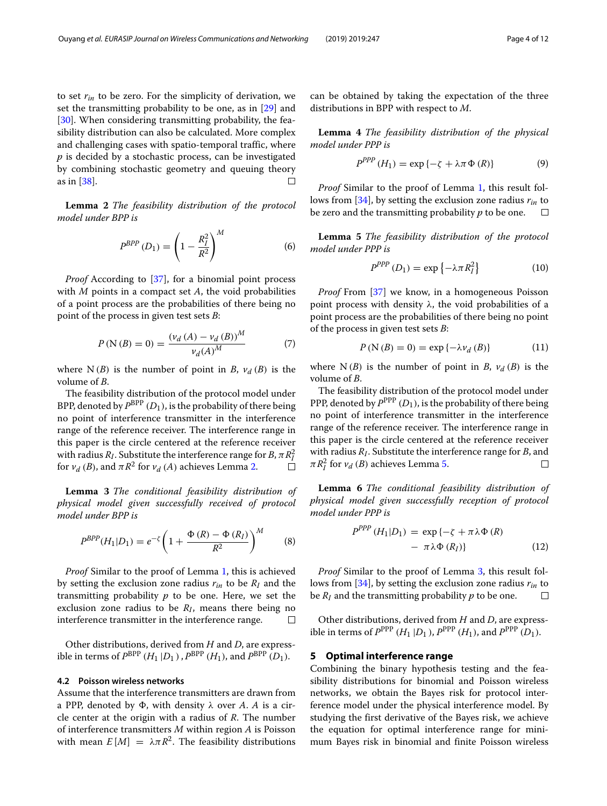to set *rin* to be zero. For the simplicity of derivation, we set the transmitting probability to be one, as in [\[29\]](#page-10-26) and [\[30\]](#page-10-27). When considering transmitting probability, the feasibility distribution can also be calculated. More complex and challenging cases with spatio-temporal traffic, where *p* is decided by a stochastic process, can be investigated by combining stochastic geometry and queuing theory as in [\[38\]](#page-11-4).  $\Box$ 

<span id="page-3-1"></span>**Lemma 2** *The feasibility distribution of the protocol model under BPP is*

<span id="page-3-4"></span>
$$
P^{BPP} (D_1) = \left( 1 - \frac{R_I^2}{R^2} \right)^M
$$
 (6)

*Proof* According to [\[37\]](#page-11-3), for a binomial point process with *M* points in a compact set *A*, the void probabilities of a point process are the probabilities of there being no point of the process in given test sets *B*:

$$
P(N (B) = 0) = \frac{(v_d (A) - v_d (B))^M}{v_d (A)^M}
$$
 (7)

where  $N(B)$  is the number of point in *B*,  $v_d(B)$  is the volume of *B*.

The feasibility distribution of the protocol model under BPP, denoted by  $P^{\rm BPP}(D_1)$ , is the probability of there being no point of interference transmitter in the interference range of the reference receiver. The interference range in this paper is the circle centered at the reference receiver with radius  $R_I$ . Substitute the interference range for  $B$ ,  $\pi R_I^2$ for  $v_d$  (*B*), and  $\pi R^2$  for  $v_d$  (*A*) achieves Lemma [2.](#page-3-1)

<span id="page-3-3"></span>**Lemma 3** *The conditional feasibility distribution of physical model given successfully received of protocol model under BPP is*

<span id="page-3-5"></span>
$$
P^{BPP}(H_1|D_1) = e^{-\zeta} \left( 1 + \frac{\Phi(R) - \Phi(R_I)}{R^2} \right)^M \tag{8}
$$

*Proof* Similar to the proof of Lemma [1,](#page-2-2) this is achieved by setting the exclusion zone radius *rin* to be *RI* and the transmitting probability *p* to be one. Here, we set the exclusion zone radius to be  $R_I$ , means there being no interference transmitter in the interference range.  $\Box$ 

Other distributions, derived from *H* and *D*, are expressible in terms of  $P^{\text{BPP}}(H_1 | D_1)$ ,  $P^{\text{BPP}}(H_1)$ , and  $P^{\text{BPP}}(D_1)$ .

#### **4.2 Poisson wireless networks**

Assume that the interference transmitters are drawn from a PPP, denoted by  $\Phi$ , with density  $\lambda$  over A. A is a circle center at the origin with a radius of *R*. The number of interference transmitters *M* within region *A* is Poisson with mean  $E[M] = \lambda \pi R^2$ . The feasibility distributions

can be obtained by taking the expectation of the three distributions in BPP with respect to *M*.

**Lemma 4** *The feasibility distribution of the physical model under PPP is*

<span id="page-3-6"></span>
$$
P^{PPP} (H_1) = \exp \{-\zeta + \lambda \pi \Phi (R)\}
$$
 (9)

*Proof* Similar to the proof of Lemma [1,](#page-2-2) this result follows from [\[34\]](#page-11-0), by setting the exclusion zone radius *rin* to be zero and the transmitting probability *p* to be one.  $\Box$ 

<span id="page-3-2"></span>**Lemma 5** *The feasibility distribution of the protocol model under PPP is*

<span id="page-3-7"></span>
$$
P^{PPP}(D_1) = \exp\left\{-\lambda \pi R_I^2\right\} \tag{10}
$$

*Proof* From [\[37\]](#page-11-3) we know, in a homogeneous Poisson point process with density  $\lambda$ , the void probabilities of a point process are the probabilities of there being no point of the process in given test sets *B*:

$$
P(N(B) = 0) = \exp\{-\lambda v_d(B)\}\tag{11}
$$

where  $N(B)$  is the number of point in *B*,  $v_d(B)$  is the volume of *B*.

The feasibility distribution of the protocol model under PPP, denoted by  $P^{\rm PPP}(D_1)$ , is the probability of there being no point of interference transmitter in the interference range of the reference receiver. The interference range in this paper is the circle centered at the reference receiver with radius *RI*. Substitute the interference range for *B*, and  $\pi R_I^2$  for  $v_d$  (*B*) achieves Lemma [5.](#page-3-2) П

**Lemma 6** *The conditional feasibility distribution of physical model given successfully reception of protocol model under PPP is*

<span id="page-3-8"></span>
$$
P^{PPP}(H_1|D_1) = \exp\{-\zeta + \pi\lambda\Phi(R) - \pi\lambda\Phi(R_I)\}\tag{12}
$$

*Proof* Similar to the proof of Lemma [3,](#page-3-3) this result follows from [\[34\]](#page-11-0), by setting the exclusion zone radius *rin* to be  $R_I$  and the transmitting probability  $p$  to be one.

Other distributions, derived from *H* and *D*, are expressible in terms of  $P^{\text{PPP}}(H_1 | D_1)$ ,  $P^{\text{PPP}}(H_1)$ , and  $P^{\text{PPP}}(D_1)$ .

#### <span id="page-3-0"></span>**5 Optimal interference range**

Combining the binary hypothesis testing and the feasibility distributions for binomial and Poisson wireless networks, we obtain the Bayes risk for protocol interference model under the physical interference model. By studying the first derivative of the Bayes risk, we achieve the equation for optimal interference range for minimum Bayes risk in binomial and finite Poisson wireless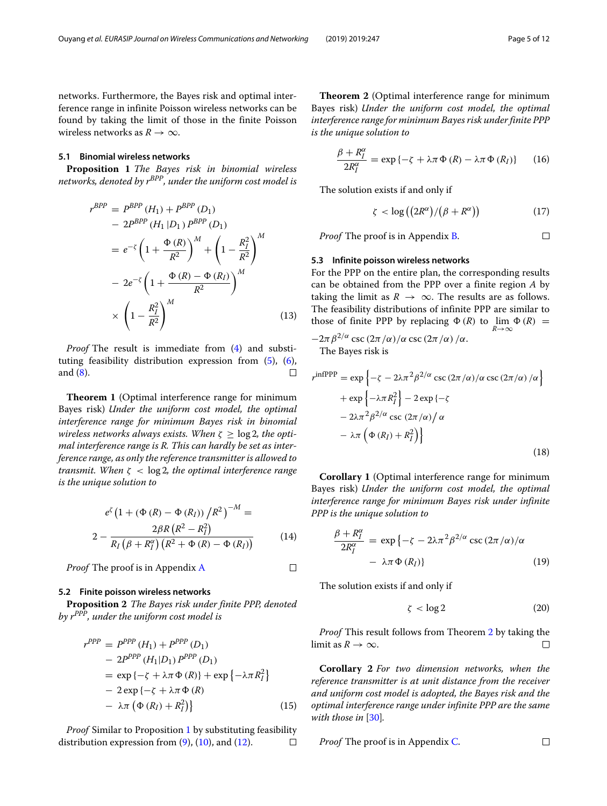networks. Furthermore, the Bayes risk and optimal interference range in infinite Poisson wireless networks can be found by taking the limit of those in the finite Poisson wireless networks as  $R \rightarrow \infty$ .

#### **5.1 Binomial wireless networks**

<span id="page-4-0"></span>**Proposition 1** *The Bayes risk in binomial wireless networks, denoted by rBPP, under the uniform cost model is*

$$
r^{BPP} = P^{BPP} (H_1) + P^{BPP} (D_1)
$$
  
\n
$$
- 2P^{BPP} (H_1 | D_1) P^{BPP} (D_1)
$$
  
\n
$$
= e^{-\zeta} \left( 1 + \frac{\Phi(R)}{R^2} \right)^M + \left( 1 - \frac{R_I^2}{R^2} \right)^M
$$
  
\n
$$
- 2e^{-\zeta} \left( 1 + \frac{\Phi(R) - \Phi(R_I)}{R^2} \right)^M
$$
  
\n
$$
\times \left( 1 - \frac{R_I^2}{R^2} \right)^M
$$
(13)

*Proof* The result is immediate from [\(4\)](#page-2-3) and substituting feasibility distribution expression from [\(5\)](#page-2-4), [\(6\)](#page-3-4), and [\(8\)](#page-3-5).  $\Box$ 

**Theorem 1** (Optimal interference range for minimum Bayes risk) *Under the uniform cost model, the optimal interference range for minimum Bayes risk in binomial wireless networks always exists. When*  $\zeta \geq \log 2$ *, the optimal interference range is R. This can hardly be set as interference range, as only the reference transmitter is allowed to transmit. When* ζ < log 2*, the optimal interference range is the unique solution to*

$$
e^{\zeta} (1 + (\Phi (R) - \Phi (R_I)) / R^2)^{-M} =
$$
  

$$
2 - \frac{2\beta R (R^2 - R_I^2)}{R_I (\beta + R_I^{\alpha}) (R^2 + \Phi (R) - \Phi (R_I))}
$$
(14)

 $\Box$ *Proof* The proof is in Appendix [A](#page-7-2)

#### **5.2 Finite poisson wireless networks**

**Proposition 2** *The Bayes risk under finite PPP, denoted by rPPP, under the uniform cost model is*

$$
r^{PPP} = P^{PPP} (H_1) + P^{PPP} (D_1)
$$
  
\n
$$
- 2P^{PPP} (H_1|D_1) P^{PPP} (D_1)
$$
  
\n
$$
= \exp \{-\zeta + \lambda \pi \Phi (R)\} + \exp \{-\lambda \pi R_I^2\}
$$
  
\n
$$
- 2 \exp \{-\zeta + \lambda \pi \Phi (R)
$$
  
\n
$$
- \lambda \pi (\Phi (R_I) + R_I^2)\}
$$
\n(15)

*Proof* Similar to Proposition [1](#page-4-0) by substituting feasibility distribution expression from  $(9)$ ,  $(10)$ , and  $(12)$ .  $\Box$ 

<span id="page-4-1"></span>**Theorem 2** (Optimal interference range for minimum Bayes risk) *Under the uniform cost model, the optimal interference range for minimum Bayes risk under finite PPP is the unique solution to*

$$
\frac{\beta + R_I^{\alpha}}{2R_I^{\alpha}} = \exp \{-\zeta + \lambda \pi \Phi (R) - \lambda \pi \Phi (R_I) \} \qquad (16)
$$

The solution exists if and only if

$$
\zeta < \log\left(\left(2R^{\alpha}\right)/\left(\beta + R^{\alpha}\right)\right) \tag{17}
$$

*Proof* The proof is in Appendix [B.](#page-8-0)

#### $\Box$

#### **5.3 Infinite poisson wireless networks**

For the PPP on the entire plan, the corresponding results can be obtained from the PPP over a finite region *A* by taking the limit as  $R \to \infty$ . The results are as follows. The feasibility distributions of infinite PPP are similar to those of finite PPP by replacing  $\Phi(R)$  to  $\lim_{R \to \infty} \Phi(R) =$ 

<span id="page-4-2"></span> $-2\pi\beta^{2/\alpha}\csc{(2\pi/\alpha)}/\alpha\csc{(2\pi/\alpha)}/\alpha.$ The Bayes risk is

$$
r^{\text{infPPP}} = \exp\left\{-\zeta - 2\lambda \pi^2 \beta^{2/\alpha} \csc\left(2\pi/\alpha\right) / \alpha \csc\left(2\pi/\alpha\right) / \alpha\right\} + \exp\left\{-\lambda \pi R_I^2\right\} - 2 \exp\left\{-\zeta - 2\lambda \pi^2 \beta^{2/\alpha} \csc\left(2\pi/\alpha\right) / \alpha - \lambda \pi \left(\Phi(R_I) + R_I^2\right)\right\}
$$
(18)

**Corollary 1** (Optimal interference range for minimum Bayes risk) *Under the uniform cost model, the optimal interference range for minimum Bayes risk under infinite PPP is the unique solution to*

<span id="page-4-3"></span>
$$
\frac{\beta + R_I^{\alpha}}{2R_I^{\alpha}} = \exp \{-\zeta - 2\lambda \pi^2 \beta^{2/\alpha} \csc (2\pi/\alpha)/\alpha - \lambda \pi \Phi(R_I)\}\
$$
 (19)

The solution exists if and only if

<span id="page-4-4"></span>
$$
\zeta < \log 2 \tag{20}
$$

*Proof* This result follows from Theorem [2](#page-4-1) by taking the limit as  $R \to \infty$ .  $\Box$ 

**Corollary 2** *For two dimension networks, when the reference transmitter is at unit distance from the receiver and uniform cost model is adopted, the Bayes risk and the optimal interference range under infinite PPP are the same with those in* [\[30\]](#page-10-27)*.*

*Proof* The proof is in Appendix C. 
$$
\Box
$$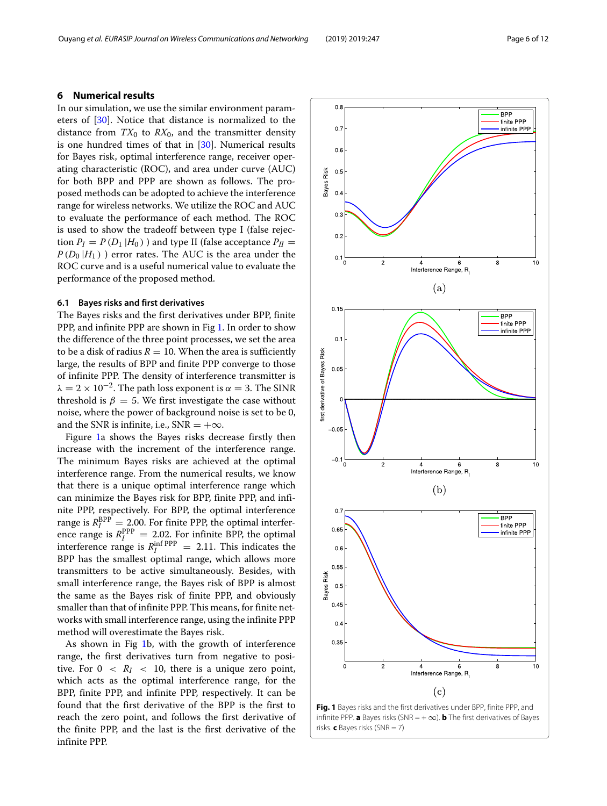#### <span id="page-5-0"></span>**6 Numerical results**

In our simulation, we use the similar environment parameters of [\[30\]](#page-10-27). Notice that distance is normalized to the distance from  $TX_0$  to  $RX_0$ , and the transmitter density is one hundred times of that in [\[30\]](#page-10-27). Numerical results for Bayes risk, optimal interference range, receiver operating characteristic (ROC), and area under curve (AUC) for both BPP and PPP are shown as follows. The proposed methods can be adopted to achieve the interference range for wireless networks. We utilize the ROC and AUC to evaluate the performance of each method. The ROC is used to show the tradeoff between type I (false rejection  $P_I = P(D_1 | H_0)$ ) and type II (false acceptance  $P_{II} =$  $P(D_0 | H_1)$  ) error rates. The AUC is the area under the ROC curve and is a useful numerical value to evaluate the performance of the proposed method.

#### **6.1 Bayes risks and first derivatives**

The Bayes risks and the first derivatives under BPP, finite PPP, and infinite PPP are shown in Fig [1.](#page-5-1) In order to show the difference of the three point processes, we set the area to be a disk of radius  $R = 10$ . When the area is sufficiently large, the results of BPP and finite PPP converge to those of infinite PPP. The density of interference transmitter is  $\lambda = 2 \times 10^{-2}$ . The path loss exponent is  $\alpha = 3$ . The SINR threshold is  $\beta = 5$ . We first investigate the case without noise, where the power of background noise is set to be 0, and the SNR is infinite, i.e., SNR =  $+\infty$ .

Figure [1a](#page-5-1) shows the Bayes risks decrease firstly then increase with the increment of the interference range. The minimum Bayes risks are achieved at the optimal interference range. From the numerical results, we know that there is a unique optimal interference range which can minimize the Bayes risk for BPP, finite PPP, and infinite PPP, respectively. For BPP, the optimal interference range is  $R_I^{\rm BPP} = 2.00$ . For finite PPP, the optimal interference range is  $R_I^{\rm PPP} = 2.02$ . For infinite BPP, the optimal interference range is  $R_I^{\text{inf PPP}} = 2.11$ . This indicates the BPP has the smallest optimal range, which allows more transmitters to be active simultaneously. Besides, with small interference range, the Bayes risk of BPP is almost the same as the Bayes risk of finite PPP, and obviously smaller than that of infinite PPP. This means, for finite networks with small interference range, using the infinite PPP method will overestimate the Bayes risk.

As shown in Fig [1b](#page-5-1), with the growth of interference range, the first derivatives turn from negative to positive. For  $0 \leq R_I \leq 10$ , there is a unique zero point, which acts as the optimal interference range, for the BPP, finite PPP, and infinite PPP, respectively. It can be found that the first derivative of the BPP is the first to reach the zero point, and follows the first derivative of the finite PPP, and the last is the first derivative of the infinite PPP.



<span id="page-5-1"></span>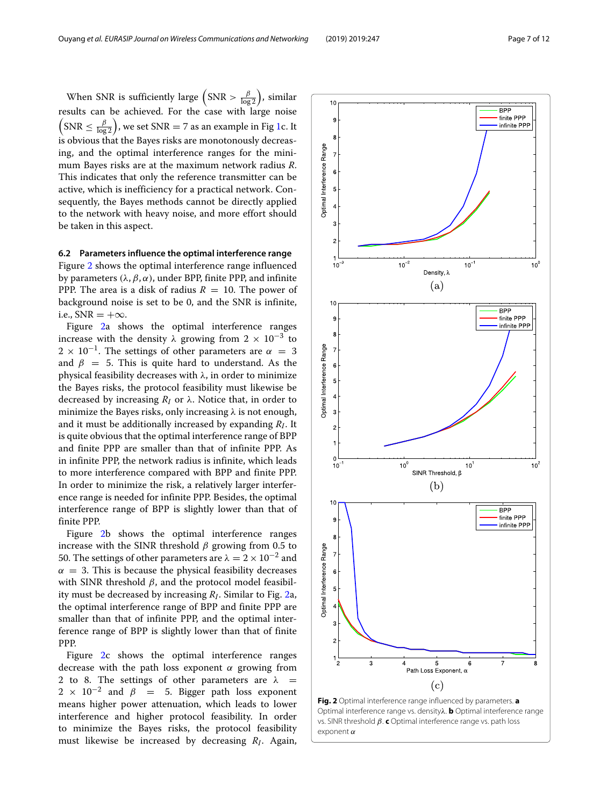When SNR is sufficiently large  $(SNR > \frac{\beta}{\log 2})$ , similar results can be achieved. For the case with large noise  $\left(\text{SNR} \leq \frac{\beta}{\log 2}\right)$ , we set SNR = 7 as an example in Fig [1c](#page-5-1). It is obvious that the Bayes risks are monotonously decreasing, and the optimal interference ranges for the minimum Bayes risks are at the maximum network radius *R*. This indicates that only the reference transmitter can be active, which is inefficiency for a practical network. Consequently, the Bayes methods cannot be directly applied to the network with heavy noise, and more effort should be taken in this aspect.

#### **6.2 Parameters influence the optimal interference range**

Figure [2](#page-6-0) shows the optimal interference range influenced by parameters ( $\lambda$ ,  $\beta$ ,  $\alpha$ ), under BPP, finite PPP, and infinite PPP. The area is a disk of radius  $R = 10$ . The power of background noise is set to be 0, and the SNR is infinite, i.e.,  $SNR = +\infty$ .

Figure [2a](#page-6-0) shows the optimal interference ranges increase with the density  $\lambda$  growing from 2 × 10<sup>-3</sup> to  $2 \times 10^{-1}$ . The settings of other parameters are  $\alpha = 3$ and  $\beta = 5$ . This is quite hard to understand. As the physical feasibility decreases with  $λ$ , in order to minimize the Bayes risks, the protocol feasibility must likewise be decreased by increasing  $R_I$  or  $\lambda$ . Notice that, in order to minimize the Bayes risks, only increasing  $\lambda$  is not enough, and it must be additionally increased by expanding *RI*. It is quite obvious that the optimal interference range of BPP and finite PPP are smaller than that of infinite PPP. As in infinite PPP, the network radius is infinite, which leads to more interference compared with BPP and finite PPP. In order to minimize the risk, a relatively larger interference range is needed for infinite PPP. Besides, the optimal interference range of BPP is slightly lower than that of finite PPP.

Figure [2b](#page-6-0) shows the optimal interference ranges increase with the SINR threshold  $\beta$  growing from 0.5 to 50. The settings of other parameters are  $\lambda = 2 \times 10^{-2}$  and  $\alpha = 3$ . This is because the physical feasibility decreases with SINR threshold  $\beta$ , and the protocol model feasibility must be decreased by increasing *RI*. Similar to Fig. [2a](#page-6-0), the optimal interference range of BPP and finite PPP are smaller than that of infinite PPP, and the optimal interference range of BPP is slightly lower than that of finite PPP.

Figure [2c](#page-6-0) shows the optimal interference ranges decrease with the path loss exponent  $\alpha$  growing from 2 to 8. The settings of other parameters are  $\lambda$  =  $2 \times 10^{-2}$  and  $\beta = 5$ . Bigger path loss exponent means higher power attenuation, which leads to lower interference and higher protocol feasibility. In order to minimize the Bayes risks, the protocol feasibility must likewise be increased by decreasing *RI*. Again,



<span id="page-6-0"></span>**Fig. 2** Optimal interference range influenced by parameters. **a** Optimal interference range vs. densityλ. **b** Optimal interference range vs. SINR threshold β. **c** Optimal interference range vs. path loss  $P$ exponent  $\alpha$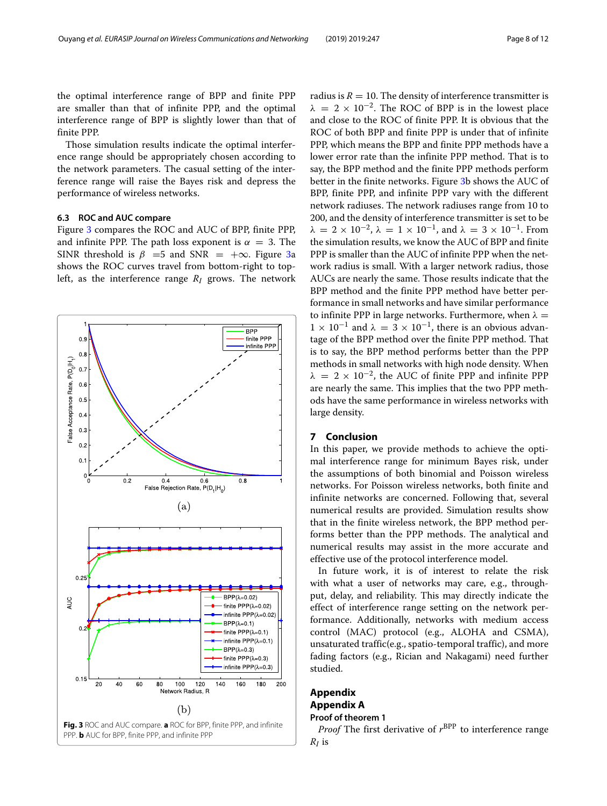the optimal interference range of BPP and finite PPP are smaller than that of infinite PPP, and the optimal interference range of BPP is slightly lower than that of finite PPP.

Those simulation results indicate the optimal interference range should be appropriately chosen according to the network parameters. The casual setting of the interference range will raise the Bayes risk and depress the performance of wireless networks.

#### **6.3 ROC and AUC compare**

Figure [3](#page-7-3) compares the ROC and AUC of BPP, finite PPP, and infinite PPP. The path loss exponent is  $\alpha = 3$ . The SINR threshold is  $\beta$  =5 and SNR = + $\infty$ . Figure [3a](#page-7-3) shows the ROC curves travel from bottom-right to topleft, as the interference range *RI* grows. The network



radius is  $R = 10$ . The density of interference transmitter is  $\lambda = 2 \times 10^{-2}$ . The ROC of BPP is in the lowest place and close to the ROC of finite PPP. It is obvious that the ROC of both BPP and finite PPP is under that of infinite PPP, which means the BPP and finite PPP methods have a lower error rate than the infinite PPP method. That is to say, the BPP method and the finite PPP methods perform better in the finite networks. Figure [3b](#page-7-3) shows the AUC of BPP, finite PPP, and infinite PPP vary with the different network radiuses. The network radiuses range from 10 to 200, and the density of interference transmitter is set to be  $\lambda = 2 \times 10^{-2}$ ,  $\lambda = 1 \times 10^{-1}$ , and  $\lambda = 3 \times 10^{-1}$ . From the simulation results, we know the AUC of BPP and finite PPP is smaller than the AUC of infinite PPP when the network radius is small. With a larger network radius, those AUCs are nearly the same. Those results indicate that the BPP method and the finite PPP method have better performance in small networks and have similar performance to infinite PPP in large networks. Furthermore, when  $\lambda =$  $1 \times 10^{-1}$  and  $\lambda = 3 \times 10^{-1}$ , there is an obvious advantage of the BPP method over the finite PPP method. That is to say, the BPP method performs better than the PPP methods in small networks with high node density. When  $\lambda = 2 \times 10^{-2}$ , the AUC of finite PPP and infinite PPP are nearly the same. This implies that the two PPP methods have the same performance in wireless networks with large density.

#### <span id="page-7-0"></span>**7 Conclusion**

In this paper, we provide methods to achieve the optimal interference range for minimum Bayes risk, under the assumptions of both binomial and Poisson wireless networks. For Poisson wireless networks, both finite and infinite networks are concerned. Following that, several numerical results are provided. Simulation results show that in the finite wireless network, the BPP method performs better than the PPP methods. The analytical and numerical results may assist in the more accurate and effective use of the protocol interference model.

In future work, it is of interest to relate the risk with what a user of networks may care, e.g., throughput, delay, and reliability. This may directly indicate the effect of interference range setting on the network performance. Additionally, networks with medium access control (MAC) protocol (e.g., ALOHA and CSMA), unsaturated traffic(e.g., spatio-temporal traffic), and more fading factors (e.g., Rician and Nakagami) need further studied.

#### <span id="page-7-1"></span>**Appendix Appendix A Proof of theorem 1**

<span id="page-7-3"></span><span id="page-7-2"></span>*Proof* The first derivative of  $r^{BPP}$  to interference range

*RI* is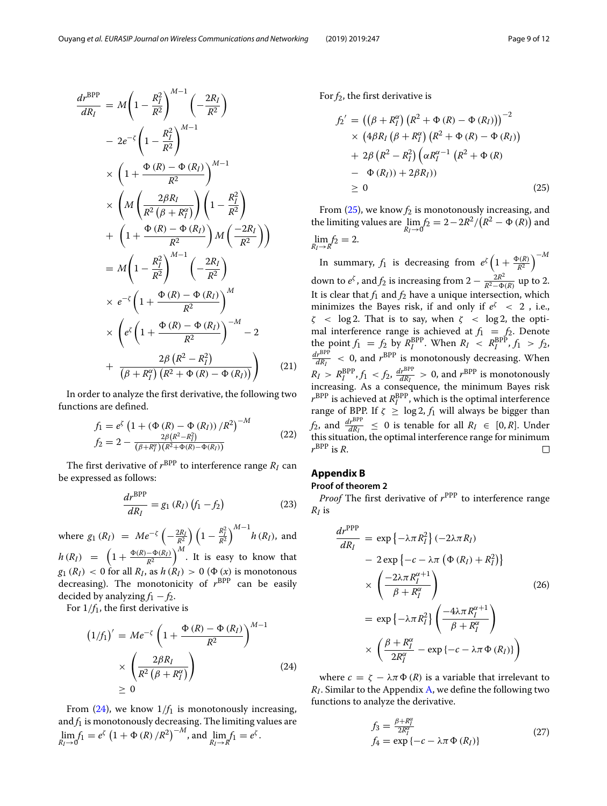$$
\frac{d\vec{r}}{dR_I} = M\left(1 - \frac{R_I^2}{R^2}\right)^{M-1} \left(-\frac{2R_I}{R^2}\right)
$$
  
\n
$$
-2e^{-\zeta} \left(1 - \frac{R_I^2}{R^2}\right)^{M-1}
$$
  
\n
$$
\times \left(1 + \frac{\Phi(R) - \Phi(R_I)}{R^2}\right)^{M-1}
$$
  
\n
$$
\times \left(M\left(\frac{2\beta R_I}{R^2(\beta + R_I^{\alpha})}\right) \left(1 - \frac{R_I^2}{R^2}\right)
$$
  
\n
$$
+ \left(1 + \frac{\Phi(R) - \Phi(R_I)}{R^2}\right) M\left(\frac{-2R_I}{R^2}\right)\right)
$$
  
\n
$$
= M\left(1 - \frac{R_I^2}{R^2}\right)^{M-1} \left(-\frac{2R_I}{R^2}\right)
$$
  
\n
$$
\times e^{-\zeta} \left(1 + \frac{\Phi(R) - \Phi(R_I)}{R^2}\right)^{M}
$$
  
\n
$$
\times \left(e^{\zeta} \left(1 + \frac{\Phi(R) - \Phi(R_I)}{R^2}\right)^{-M} - 2
$$
  
\n
$$
+ \frac{2\beta (R^2 - R_I^2)}{(\beta + R_I^{\alpha})(R^2 + \Phi(R) - \Phi(R_I))}\right) \qquad (21)
$$

*M*−<sup>1</sup>

In order to analyze the first derivative, the following two functions are defined.

$$
f_1 = e^{\zeta} \left( 1 + \left( \Phi(R) - \Phi(R_I) \right) / R^2 \right)^{-M}
$$
  
\n
$$
f_2 = 2 - \frac{2\beta (R^2 - R_I^2)}{(\beta + R_I^{\alpha})(R^2 + \Phi(R) - \Phi(R_I))}
$$
\n(22)

The first derivative of  $r^{BPP}$  to interference range  $R_I$  can be expressed as follows:

$$
\frac{dr^{\text{BPP}}}{dR_I} = g_1(R_I) (f_1 - f_2)
$$
 (23)

where  $g_1(R_I) = Me^{-\zeta} \left( -\frac{2R_I}{R^2} \right) \left( 1 - \frac{R_I^2}{R^2} \right)^{M-1} h(R_I)$ , and  $h(R_I) = \left(1 + \frac{\Phi(R) - \Phi(R_I)}{R^2}\right)^M$ . It is easy to know that  $g_1(R_I) < 0$  for all  $R_I$ , as  $h(R_I) > 0$  ( $\Phi(x)$  is monotonous decreasing). The monotonicity of  $r^{BPP}$  can be easily decided by analyzing  $f_1 - f_2$ .

For 1/*f*1, the first derivative is

<span id="page-8-1"></span>
$$
(1/f1)' = Me- $\zeta$  \left(1 + \frac{\Phi(R) - \Phi(R_I)}{R^2}\right)^{M-1}
$$
  
  $\times \left(\frac{2\beta R_I}{R^2(\beta + R_I^{\alpha})}\right)$  (24)  
  $\geq 0$ 

From  $(24)$ , we know  $1/f_1$  is monotonously increasing, and  $f_1$  is monotonously decreasing. The limiting values are  $\lim_{R_I \to 0} f_1 = e^{\zeta} \left( 1 + \Phi(R) / R^2 \right)^{-M}$ , and  $\lim_{R_I \to R'} f_1 = e^{\zeta}$ .

For  $f_2$ , the first derivative is

<span id="page-8-2"></span>
$$
f_2' = ((\beta + R_I^{\alpha})(R^2 + \Phi (R) - \Phi (R_I)))^{-2}
$$
  
\n
$$
\times (4\beta R_I (\beta + R_I^{\alpha})(R^2 + \Phi (R) - \Phi (R_I))
$$
  
\n
$$
+ 2\beta (R^2 - R_I^2) (\alpha R_I^{\alpha - 1} (R^2 + \Phi (R)
$$
  
\n
$$
- \Phi (R_I)) + 2\beta R_I))
$$
  
\n
$$
\geq 0
$$
 (25)

From  $(25)$ , we know  $f_2$  is monotonously increasing, and the limiting values are  $\lim_{R_I \to 0} f_2 = 2 - 2R^2/(R^2 - \Phi(R))$  and  $\lim_{R_I \to R} f_2 = 2.$ 

In summary,  $f_1$  is decreasing from  $e^{\zeta} \left(1 + \frac{\Phi(R)}{R^2}\right)^{-M}$ down to  $e^{\zeta}$ , and  $f_2$  is increasing from  $2 - \frac{2R^2}{R^2 - \Phi(R)}$  up to 2. It is clear that  $f_1$  and  $f_2$  have a unique intersection, which minimizes the Bayes risk, if and only if  $e^{\zeta} < 2$ , i.e.,  $\zeta$  < log 2. That is to say, when  $\zeta$  < log 2, the optimal interference range is achieved at  $f_1 = f_2$ . Denote the point  $f_1 = f_2$  by  $R_I^{\text{BPP}}$ . When  $R_I \leq R_I^{\text{BPP}}$ ,  $f_1 > f_2$ ,  $\frac{dr^{\text{BPP}}}{dR_I}$  < 0, and  $r^{\text{BPP}}$  is monotonously decreasing. When  $R_I > R_I^{\rm BPP}$ ,  $f_1 < f_2$ ,  $\frac{dr^{\rm BPP}}{dR_I} > 0$ , and  $r^{\rm BPP}$  is monotonously increasing. As a consequence, the minimum Bayes risk  $r^{\mathrm{BPP}}$  is achieved at  $R^{\mathrm{BPP}}_I$ , which is the optimal interference range of BPP. If  $\zeta \ge \log 2$ ,  $f_1$  will always be bigger than *f*<sub>2</sub>, and  $\frac{d r^{BPP}}{dR_I} \leq 0$  is tenable for all  $R_I \in [0, R]$ . Under this situation, the optimal interference range for minimum  $r^{\rm BPP}$  is  $R$ .  $\Box$ 

#### **Appendix B**

#### **Proof of theorem 2**

<span id="page-8-0"></span>*Proof* The first derivative of  $r^{\text{PPP}}$  to interference range *RI* is

$$
\frac{dr^{\text{PPP}}}{dR_I} = \exp\left\{-\lambda \pi R_I^2\right\} (-2\lambda \pi R_I)
$$
  
\n
$$
- 2 \exp\left\{-c - \lambda \pi \left(\Phi(R_I) + R_I^2\right)\right\}
$$
  
\n
$$
\times \left(\frac{-2\lambda \pi R_I^{\alpha+1}}{\beta + R_I^{\alpha}}\right)
$$
  
\n
$$
= \exp\left\{-\lambda \pi R_I^2\right\} \left(\frac{-4\lambda \pi R_I^{\alpha+1}}{\beta + R_I^{\alpha}}\right)
$$
  
\n
$$
\times \left(\frac{\beta + R_I^{\alpha}}{2R_I^{\alpha}} - \exp\left\{-c - \lambda \pi \Phi(R_I)\right\}\right)
$$

where  $c = \zeta - \lambda \pi \Phi(R)$  is a variable that irrelevant to *RI*. Similar to the Appendix [A,](#page-7-2) we define the following two functions to analyze the derivative.

$$
f_3 = \frac{\beta + R_I^{\alpha}}{2R_I^{\alpha}}
$$
  
\n
$$
f_4 = \exp\{-c - \lambda \pi \Phi(R_I)\}\
$$
\n(27)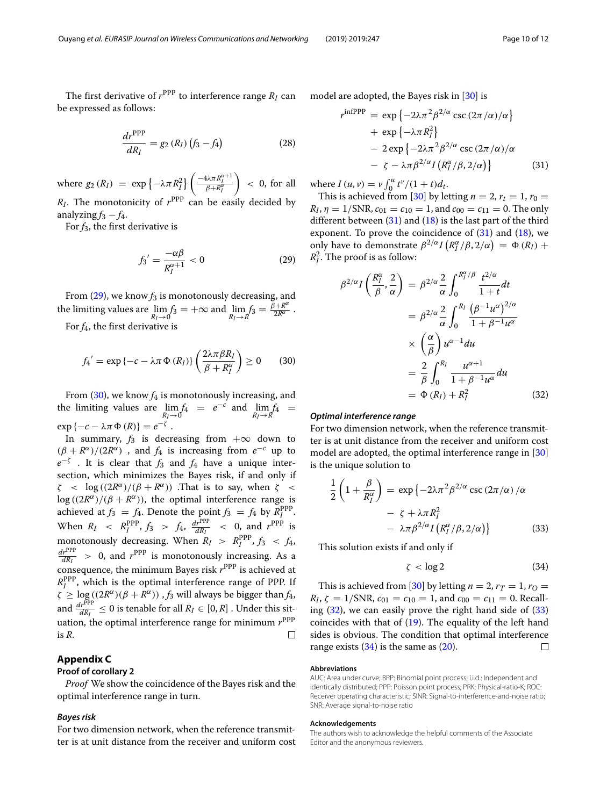The first derivative of  $r^{\text{PPP}}$  to interference range  $R_I$  can be expressed as follows:

$$
\frac{dr^{\rm PPP}}{dR_I} = g_2 (R_I) (f_3 - f_4)
$$
 (28)

where  $g_2(R_I) = \exp \left\{-\lambda \pi R_I^2\right\} \left( \frac{-4\lambda \pi R_I^{\alpha+1}}{\beta + R_I^{\alpha}} \right)$  $\overline{\beta+R_I^{\alpha}}$  $\Big)$  < 0, for all  $R_I$ . The monotonicity of  $r^{PPP}$  can be easily decided by analyzing  $f_3 - f_4$ .

For  $f_3$ , the first derivative is

<span id="page-9-1"></span>
$$
f_3' = \frac{-\alpha\beta}{R_I^{\alpha+1}} < 0 \tag{29}
$$

From  $(29)$ , we know  $f_3$  is monotonously decreasing, and the limiting values are  $\lim_{R_I \to 0} f_3 = +\infty$  and  $\lim_{R_I \to R} f_3 = \frac{\beta + R^{\alpha}}{2R^{\alpha}}$ .

For *f*4, the first derivative is

<span id="page-9-2"></span>
$$
f_4' = \exp\{-c - \lambda \pi \Phi(R_I)\} \left(\frac{2\lambda \pi \beta R_I}{\beta + R_I^{\alpha}}\right) \ge 0 \qquad (30)
$$

From  $(30)$ , we know  $f_4$  is monotonously increasing, and the limiting values are  $\lim_{R_I \to 0} f_4 = e^{-c}$  and  $\lim_{R_I \to R} f_4 =$  $\exp \{-c - \lambda \pi \Phi(R)\} = e^{-\zeta}.$ 

In summary,  $f_3$  is decreasing from  $+\infty$  down to  $(\beta + R^{\alpha})/(2R^{\alpha})$ , and  $f_4$  is increasing from  $e^{-c}$  up to  $e^{-\zeta}$  . It is clear that *f*<sub>3</sub> and *f*<sub>4</sub> have a unique intersection, which minimizes the Bayes risk, if and only if  $\zeta$  < log( $\frac{2R^{\alpha}}{\beta + R^{\alpha}}$ ). That is to say, when  $\zeta$  <  $\log ((2R^{\alpha})/(\beta + R^{\alpha}))$ , the optimal interference range is achieved at  $f_3 = f_4$ . Denote the point  $f_3 = f_4$  by  $R_I^{PPP}$ . When  $R_I \ll R_I^{\rm PPP}$ ,  $f_3 > f_4$ ,  $\frac{dr^{\rm PPP}}{dR_I} \ll 0$ , and  $r^{\rm PPP}$  is monotonously decreasing. When  $R_I > R_I^{\text{PPP}}$ ,  $f_3 < f_4$ ,  $\frac{dr^{PPP}}{dR_I} > 0$ , and  $r^{PPP}$  is monotonously increasing. As a consequence, the minimum Bayes risk  $r^{\text{PPP}}$  is achieved at *R*PPP *<sup>I</sup>* , which is the optimal interference range of PPP. If  $\zeta \geq \log((2R^{\alpha})(\beta + R^{\alpha}))$ , *f*<sub>3</sub> will always be bigger than *f*<sub>4</sub>, and  $\frac{dr^{PPP}}{dR_I} \leq 0$  is tenable for all  $R_I \in [0, R]$ . Under this situation, the optimal interference range for minimum  $r^{\rm PPP}$ is *R*.  $\Box$ 

#### **Appendix C**

#### **Proof of corollary 2**

<span id="page-9-0"></span>*Proof* We show the coincidence of the Bayes risk and the optimal interference range in turn.

#### *Bayes risk*

For two dimension network, when the reference transmitter is at unit distance from the receiver and uniform cost model are adopted, the Bayes risk in [\[30\]](#page-10-27) is

<span id="page-9-3"></span>
$$
r^{\text{infPPP}} = \exp \{-2\lambda \pi^2 \beta^{2/\alpha} \csc (2\pi/\alpha)/\alpha\}
$$
  
+ 
$$
\exp \{-\lambda \pi R_I^2\}
$$
  
- 
$$
2 \exp \{-2\lambda \pi^2 \beta^{2/\alpha} \csc (2\pi/\alpha)/\alpha
$$
  
- 
$$
\zeta - \lambda \pi \beta^{2/\alpha} I (R_I^{\alpha}/\beta, 2/\alpha)\}
$$
(31)

where  $I(u, v) = v \int_0^u t^v/(1 + t) dt$ .

This is achieved from [\[30\]](#page-10-27) by letting  $n = 2$ ,  $r_t = 1$ ,  $r_0 =$  $R_I$ ,  $\eta = 1/\text{SNR}$ ,  $c_{01} = c_{10} = 1$ , and  $c_{00} = c_{11} = 0$ . The only different between  $(31)$  and  $(18)$  is the last part of the third exponent. To prove the coincidence of  $(31)$  and  $(18)$ , we only have to demonstrate  $\beta^{2/\alpha} I(R_I^{\alpha}/\beta, 2/\alpha) = \Phi(R_I) + \beta$  $R_I^2$ . The proof is as follow:

<span id="page-9-4"></span>
$$
\beta^{2/\alpha} I\left(\frac{R_I^{\alpha}}{\beta}, \frac{2}{\alpha}\right) = \beta^{2/\alpha} \frac{2}{\alpha} \int_0^{R_I^{\alpha}/\beta} \frac{t^{2/\alpha}}{1+t} dt
$$

$$
= \beta^{2/\alpha} \frac{2}{\alpha} \int_0^{R_I} \frac{(\beta^{-1}u^{\alpha})^{2/\alpha}}{1+\beta^{-1}u^{\alpha}}
$$

$$
\times \left(\frac{\alpha}{\beta}\right) u^{\alpha-1} du
$$

$$
= \frac{2}{\beta} \int_0^{R_I} \frac{u^{\alpha+1}}{1+\beta^{-1}u^{\alpha}} du
$$

$$
= \Phi(R_I) + R_I^2 \tag{32}
$$

#### *Optimal interference range*

For two dimension network, when the reference transmitter is at unit distance from the receiver and uniform cost model are adopted, the optimal interference range in [\[30\]](#page-10-27) is the unique solution to

<span id="page-9-5"></span>
$$
\frac{1}{2}\left(1+\frac{\beta}{R_{I}^{\alpha}}\right) = \exp\left\{-2\lambda\pi^{2}\beta^{2/\alpha}\csc\left(2\pi/\alpha\right)/\alpha\right.\n-\zeta + \lambda\pi R_{I}^{2}\n-\lambda\pi\beta^{2/\alpha}I\left(R_{I}^{\alpha}/\beta,2/\alpha\right)\right\}
$$
\n(33)

This solution exists if and only if

<span id="page-9-6"></span>
$$
\zeta < \log 2 \tag{34}
$$

This is achieved from [\[30\]](#page-10-27) by letting  $n = 2$ ,  $r_T = 1$ ,  $r_Q =$  $R_I$ ,  $\zeta = 1/\text{SNR}$ ,  $c_{01} = c_{10} = 1$ , and  $c_{00} = c_{11} = 0$ . Recalling [\(32\)](#page-9-4), we can easily prove the right hand side of [\(33\)](#page-9-5) coincides with that of  $(19)$ . The equality of the left hand sides is obvious. The condition that optimal interference range exists  $(34)$  is the same as  $(20)$ .  $\Box$ 

#### **Abbreviations**

AUC: Area under curve; BPP: Binomial point process; i.i.d.: Independent and identically distributed; PPP: Poisson point process; PRK: Physical-ratio-K; ROC: Receiver operating characteristic; SINR: Signal-to-interference-and-noise ratio; SNR: Average signal-to-noise ratio

#### **Acknowledgements**

The authors wish to acknowledge the helpful comments of the Associate Editor and the anonymous reviewers.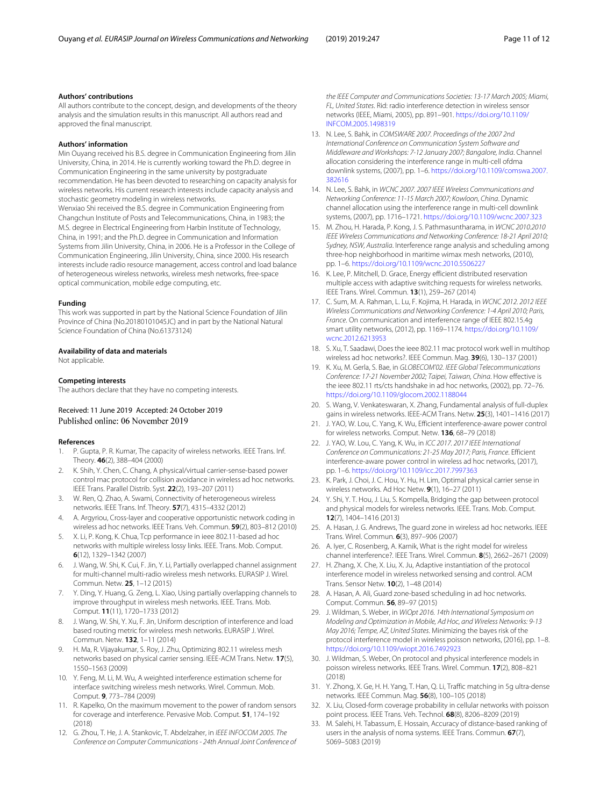#### **Authors' contributions**

All authors contribute to the concept, design, and developments of the theory analysis and the simulation results in this manuscript. All authors read and approved the final manuscript.

#### **Authors' information**

Min Ouyang received his B.S. degree in Communication Engineering from Jilin University, China, in 2014. He is currently working toward the Ph.D. degree in Communication Engineering in the same university by postgraduate recommendation. He has been devoted to researching on capacity analysis for wireless networks. His current research interests include capacity analysis and stochastic geometry modeling in wireless networks.

Wenxiao Shi received the B.S. degree in Communication Engineering from Changchun Institute of Posts and Telecommunications, China, in 1983; the M.S. degree in Electrical Engineering from Harbin Institute of Technology, China, in 1991; and the Ph.D. degree in Communication and Information Systems from Jilin University, China, in 2006. He is a Professor in the College of Communication Engineering, Jilin University, China, since 2000. His research interests include radio resource management, access control and load balance of heterogeneous wireless networks, wireless mesh networks, free-space optical communication, mobile edge computing, etc.

#### **Funding**

This work was supported in part by the National Science Foundation of Jilin Province of China (No.20180101045JC) and in part by the National Natural Science Foundation of China (No.61373124)

#### **Availability of data and materials**

Not applicable.

#### **Competing interests**

The authors declare that they have no competing interests.

#### Received: 11 June 2019 Accepted: 24 October 2019 Published online: 06 November 2019

#### **References**

- <span id="page-10-0"></span>1. P. Gupta, P. R. Kumar, The capacity of wireless networks. IEEE Trans. Inf. Theory. **46**(2), 388–404 (2000)
- <span id="page-10-1"></span>2. K. Shih, Y. Chen, C. Chang, A physical/virtual carrier-sense-based power control mac protocol for collision avoidance in wireless ad hoc networks. IEEE Trans. Parallel Distrib. Syst. **22**(2), 193–207 (2011)
- 3. W. Ren, Q. Zhao, A. Swami, Connectivity of heterogeneous wireless networks. IEEE Trans. Inf. Theory. **57**(7), 4315–4332 (2012)
- <span id="page-10-16"></span>4. A. Argyriou, Cross-layer and cooperative opportunistic network coding in wireless ad hoc networks. IEEE Trans. Veh. Commun. **59**(2), 803–812 (2010)
- <span id="page-10-2"></span>5. X. Li, P. Kong, K. Chua, Tcp performance in ieee 802.11-based ad hoc networks with multiple wireless lossy links. IEEE. Trans. Mob. Comput. **6**(12), 1329–1342 (2007)
- <span id="page-10-3"></span>6. J. Wang, W. Shi, K. Cui, F. Jin, Y. Li, Partially overlapped channel assignment for multi-channel multi-radio wireless mesh networks. EURASIP J. Wirel. Commun. Netw. **25**, 1–12 (2015)
- <span id="page-10-12"></span>7. Y. Ding, Y. Huang, G. Zeng, L. Xiao, Using partially overlapping channels to improve throughput in wireless mesh networks. IEEE. Trans. Mob. Comput. **11**(11), 1720–1733 (2012)
- <span id="page-10-13"></span>8. J. Wang, W. Shi, Y. Xu, F. Jin, Uniform description of interference and load based routing metric for wireless mesh networks. EURASIP J. Wirel. Commun. Netw. **132**, 1–11 (2014)
- <span id="page-10-17"></span>9. H. Ma, R. Vijayakumar, S. Roy, J. Zhu, Optimizing 802.11 wireless mesh networks based on physical carrier sensing. IEEE-ACM Trans. Netw. **17**(5), 1550–1563 (2009)
- <span id="page-10-4"></span>10. Y. Feng, M. Li, M. Wu, A weighted interference estimation scheme for interface switching wireless mesh networks. Wirel. Commun. Mob. Comput. **9**, 773–784 (2009)
- <span id="page-10-5"></span>11. R. Kapelko, On the maximum movement to the power of random sensors for coverage and interference. Pervasive Mob. Comput. **51**, 174–192 (2018)
- <span id="page-10-6"></span>12. G. Zhou, T. He, J. A. Stankovic, T. Abdelzaher, in IEEE INFOCOM 2005. The Conference on Computer Communications - 24th Annual Joint Conference of

the IEEE Computer and Communications Societies: 13-17 March 2005; Miami, FL, United States. Rid: radio interference detection in wireless sensor networks (IEEE, Miami, 2005), pp. 891–901. [https://doi.org/10.1109/](https://doi.org/10.1109/INFCOM.2005.1498319) [INFCOM.2005.1498319](https://doi.org/10.1109/INFCOM.2005.1498319)

- <span id="page-10-7"></span>13. N. Lee, S. Bahk, in COMSWARE 2007. Proceedings of the 2007 2nd International Conference on Communication System Software and Middleware and Workshops: 7-12 January 2007; Bangalore, India. Channel allocation considering the interference range in multi-cell ofdma downlink systems, (2007), pp. 1–6. [https://doi.org/10.1109/comswa.2007.](https://doi.org/10.1109/comswa.2007.382616) [382616](https://doi.org/10.1109/comswa.2007.382616)
- <span id="page-10-8"></span>14. N. Lee, S. Bahk, in WCNC 2007. 2007 IEEE Wireless Communications and Networking Conference: 11-15 March 2007; Kowloon, China. Dynamic channel allocation using the interference range in multi-cell downlink systems, (2007), pp. 1716–1721. <https://doi.org/10.1109/wcnc.2007.323>
- <span id="page-10-9"></span>15. M. Zhou, H. Harada, P. Kong, J. S. Pathmasuntharama, in WCNC 2010.2010 IEEE Wireless Communications and Networking Conference: 18-21 April 2010; Sydney, NSW, Australia. Interference range analysis and scheduling among three-hop neighborhood in maritime wimax mesh networks, (2010), pp. 1–6. <https://doi.org/10.1109/wcnc.2010.5506227>
- <span id="page-10-10"></span>16. K. Lee, P. Mitchell, D. Grace, Energy efficient distributed reservation multiple access with adaptive switching requests for wireless networks. IEEE Trans. Wirel. Commun. **13**(1), 259–267 (2014)
- <span id="page-10-11"></span>17. C. Sum, M. A. Rahman, L. Lu, F. Kojima, H. Harada, in WCNC 2012. 2012 IEEE Wireless Communications and Networking Conference: 1-4 April 2010; Paris, France. On communication and interference range of IEEE 802.15.4g smart utility networks, (2012), pp. 1169–1174. [https://doi.org/10.1109/](https://doi.org/10.1109/wcnc.2012.6213953) [wcnc.2012.6213953](https://doi.org/10.1109/wcnc.2012.6213953)
- <span id="page-10-14"></span>18. S. Xu, T. Saadawi, Does the ieee 802.11 mac protocol work well in multihop wireless ad hoc networks?. IEEE Commun. Mag. **39**(6), 130–137 (2001)
- <span id="page-10-15"></span>19. K. Xu, M. Gerla, S. Bae, in GLOBECOM'02. IEEE Global Telecommunications Conference: 17-21 November 2002; Taipei, Taiwan, China. How effective is the ieee 802.11 rts/cts handshake in ad hoc networks, (2002), pp. 72–76. <https://doi.org/10.1109/glocom.2002.1188044>
- <span id="page-10-18"></span>20. S. Wang, V. Venkateswaran, X. Zhang, Fundamental analysis of full-duplex gains in wireless networks. IEEE-ACM Trans. Netw. **25**(3), 1401–1416 (2017)
- <span id="page-10-19"></span>21. J. YAO, W. Lou, C. Yang, K. Wu, Efficient interference-aware power control for wireless networks. Comput. Netw. **136**, 68–79 (2018)
- 22. J. YAO, W. Lou, C. Yang, K. Wu, in ICC 2017. 2017 IEEE International Conference on Communications: 21-25 May 2017; Paris, France. Efficient interference-aware power control in wireless ad hoc networks, (2017), pp. 1–6. <https://doi.org/10.1109/icc.2017.7997363>
- <span id="page-10-20"></span>23. K. Park, J. Choi, J. C. Hou, Y. Hu, H. Lim, Optimal physical carrier sense in wireless networks. Ad Hoc Netw. **9**(1), 16–27 (2011)
- <span id="page-10-21"></span>24. Y. Shi, Y. T. Hou, J. Liu, S. Kompella, Bridging the gap between protocol and physical models for wireless networks. IEEE. Trans. Mob. Comput. **12**(7), 1404–1416 (2013)
- <span id="page-10-22"></span>25. A. Hasan, J. G. Andrews, The guard zone in wireless ad hoc networks. IEEE Trans. Wirel. Commun. **6**(3), 897–906 (2007)
- <span id="page-10-23"></span>26. A. Iyer, C. Rosenberg, A. Karnik, What is the right model for wireless channel interference?. IEEE Trans. Wirel. Commun. **8**(5), 2662–2671 (2009)
- <span id="page-10-24"></span>27. H. Zhang, X. Che, X. Liu, X. Ju, Adaptive instantiation of the protocol interference model in wireless networked sensing and control. ACM Trans. Sensor Netw. **10**(2), 1–48 (2014)
- <span id="page-10-25"></span>28. A. Hasan, A. Ali, Guard zone-based scheduling in ad hoc networks. Comput. Commun. **56**, 89–97 (2015)
- <span id="page-10-26"></span>29. J. Wildman, S. Weber, in WiOpt 2016. 14th International Symposium on Modeling and Optimization in Mobile, Ad Hoc, and Wireless Networks: 9-13 May 2016; Tempe, AZ, United States. Minimizing the bayes risk of the protocol interference model in wireless poisson networks, (2016), pp. 1–8. <https://doi.org/10.1109/wiopt.2016.7492923>
- <span id="page-10-27"></span>30. J. Wildman, S. Weber, On protocol and physical interference models in poisson wireless networks. IEEE Trans. Wirel. Commun. **17**(2), 808–821 (2018)
- <span id="page-10-28"></span>31. Y. Zhong, X. Ge, H. H. Yang, T. Han, Q. Li, Traffic matching in 5g ultra-dense networks. IEEE Commun. Mag. **56**(8), 100–105 (2018)
- <span id="page-10-29"></span>32. X. Liu, Closed-form coverage probability in cellular networks with poisson point process. IEEE Trans. Veh. Technol. **68**(8), 8206–8209 (2019)
- <span id="page-10-30"></span>33. M. Salehi, H. Tabassum, E. Hossain, Accuracy of distance-based ranking of users in the analysis of noma systems. IEEE Trans. Commun. **67**(7), 5069–5083 (2019)